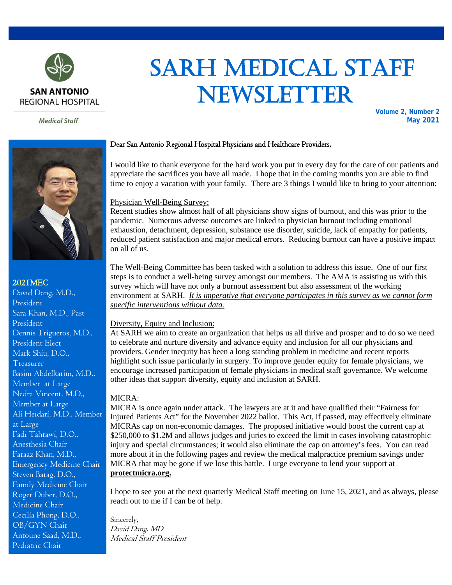

 SARH MEDICAL STAFF NEWSLETTER

**Medical Staff** 

#### **Volume 2, Number 2 May 2021**



## 2021MEC

David Dang, M.D., President Sara Khan, M.D., Past President Dennis Trigueros, M.D., President Elect Mark Shiu, D.O., Treasurer Basim Abdelkarim, M.D., Member at Large Nedra Vincent, M.D., Member at Large Ali Heidari, M.D., Member at Large Fadi Tahrawi, D.O., Anesthesia Chair Faraaz Khan, M.D., Emergency Medicine Chair Steven Barag, D.O., Family Medicine Chair Roger Duber, D.O., Medicine Chair Cecilia Phong, D.O., OB/GYN Chair Antoune Saad, M.D., Pediatric Chair

## Dear San Antonio Regional Hospital Physicians and Healthcare Providers,

I would like to thank everyone for the hard work you put in every day for the care of our patients and appreciate the sacrifices you have all made. I hope that in the coming months you are able to find time to enjoy a vacation with your family. There are 3 things I would like to bring to your attention:

## Physician Well-Being Survey:

Recent studies show almost half of all physicians show signs of burnout, and this was prior to the pandemic. Numerous adverse outcomes are linked to physician burnout including emotional exhaustion, detachment, depression, substance use disorder, suicide, lack of empathy for patients, reduced patient satisfaction and major medical errors. Reducing burnout can have a positive impact on all of us.

The Well-Being Committee has been tasked with a solution to address this issue. One of our first steps is to conduct a well-being survey amongst our members. The AMA is assisting us with this survey which will have not only a burnout assessment but also assessment of the working environment at SARH. *It is imperative that everyone participates in this survey as we cannot form specific interventions without data.*

#### Diversity, Equity and Inclusion:

At SARH we aim to create an organization that helps us all thrive and prosper and to do so we need to celebrate and nurture diversity and advance equity and inclusion for all our physicians and providers. Gender inequity has been a long standing problem in medicine and recent reports highlight such issue particularly in surgery. To improve gender equity for female physicians, we encourage increased participation of female physicians in medical staff governance. We welcome other ideas that support diversity, equity and inclusion at SARH.

#### MICRA:

MICRA is once again under attack. The lawyers are at it and have qualified their "Fairness for Injured Patients Act" for the November 2022 ballot. This Act, if passed, may effectively eliminate MICRAs cap on non-economic damages. The proposed initiative would boost the current cap at \$250,000 to \$1.2M and allows judges and juries to exceed the limit in cases involving catastrophic injury and special circumstances; it would also eliminate the cap on attorney's fees. You can read more about it in the following pages and review the medical malpractice premium savings under MICRA that may be gone if we lose this battle. I urge everyone to lend your support at **protectmicra.org.**

I hope to see you at the next quarterly Medical Staff meeting on June 15, 2021, and as always, please reach out to me if I can be of help.

Sincerely, David Dang, MD Medical Staff President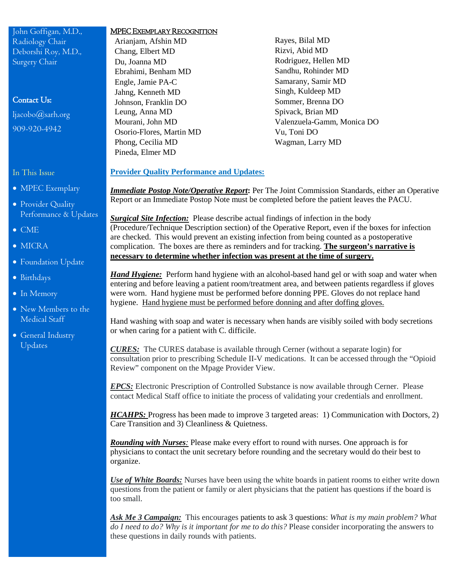John Goffigan, M.D., Radiology Chair Deborshi Roy, M.D., Surgery Chair

# Contact Us:

[ljacobo@sarh.org](mailto:ljacobo@sarh.org) 909-920-4942

In This Issue

- MPEC Exemplary
- Provider Quality Performance & Updates
- CME
- MICRA
- Foundation Update
- Birthdays
- In Memory
- New Members to the Medical Staff
- General Industry Updates

#### MPEC EXEMPLARY RECOGNITION

- Arianjam, Afshin MD Rayes, Bilal MD Chang, Elbert MD Rizvi, Abid MD Du, Joanna MD Rodriguez, Hellen MD Ebrahimi, Benham MD Sandhu, Rohinder MD Engle, Jamie PA-C Samarany, Samir MD Jahng, Kenneth MD Singh, Kuldeep MD Johnson, Franklin DO Sommer, Brenna DO Leung, Anna MD Spivack, Brian MD Osorio-Flores, Martin MD Vu, Toni DO Phong, Cecilia MD Wagman, Larry MD Pineda, Elmer MD
- Mourani, John MD Valenzuela-Gamm, Monica DO

## **Provider Quality Performance and Updates:**

*Immediate Postop Note/Operative Report***:** Per The Joint Commission Standards, either an Operative Report or an Immediate Postop Note must be completed before the patient leaves the PACU.

*Surgical Site Infection:* Please describe actual findings of infection in the body (Procedure/Technique Description section) of the Operative Report, even if the boxes for infection are checked. This would prevent an existing infection from being counted as a postoperative complication. The boxes are there as reminders and for tracking. **The surgeon's narrative is necessary to determine whether infection was present at the time of surgery.**

*Hand Hygiene:* Perform hand hygiene with an alcohol-based hand gel or with soap and water when entering and before leaving a patient room/treatment area, and between patients regardless if gloves were worn. Hand hygiene must be performed before donning PPE. Gloves do not replace hand hygiene. Hand hygiene must be performed before donning and after doffing gloves.

Hand washing with soap and water is necessary when hands are visibly soiled with body secretions or when caring for a patient with C. difficile.

*CURES:* The CURES database is available through Cerner (without a separate login) for consultation prior to prescribing Schedule II-V medications. It can be accessed through the "Opioid Review" component on the Mpage Provider View.

*EPCS:* Electronic Prescription of Controlled Substance is now available through Cerner. Please contact Medical Staff office to initiate the process of validating your credentials and enrollment.

*HCAHPS:* Progress has been made to improve 3 targeted areas: 1) Communication with Doctors, 2) Care Transition and 3) Cleanliness & Quietness.

*Rounding with Nurses:* Please make every effort to round with nurses. One approach is for physicians to contact the unit secretary before rounding and the secretary would do their best to organize.

*Use of White Boards:* Nurses have been using the white boards in patient rooms to either write down questions from the patient or family or alert physicians that the patient has questions if the board is too small.

*Ask Me 3 Campaign:* This encourages patients to ask 3 questions: *What is my main problem? What do I need to do? Why is it important for me to do this?* Please consider incorporating the answers to these questions in daily rounds with patients.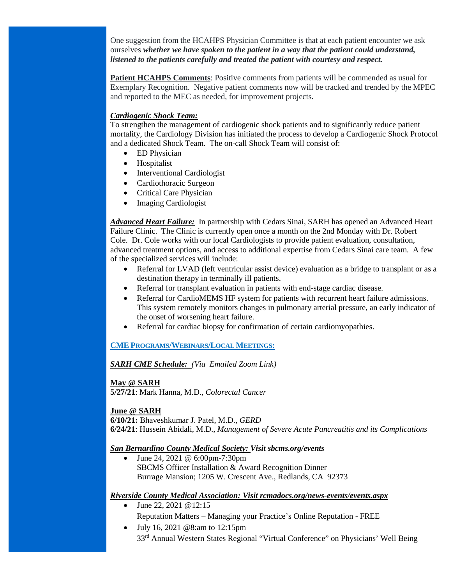One suggestion from the HCAHPS Physician Committee is that at each patient encounter we ask ourselves *whether we have spoken to the patient in a way that the patient could understand, listened to the patients carefully and treated the patient with courtesy and respect.*

**Patient HCAHPS Comments**: Positive comments from patients will be commended as usual for Exemplary Recognition. Negative patient comments now will be tracked and trended by the MPEC and reported to the MEC as needed, for improvement projects.

# *Cardiogenic Shock Team:*

To strengthen the management of cardiogenic shock patients and to significantly reduce patient mortality, the Cardiology Division has initiated the process to develop a Cardiogenic Shock Protocol and a dedicated Shock Team. The on-call Shock Team will consist of:

- ED Physician
- Hospitalist
- Interventional Cardiologist
- Cardiothoracic Surgeon
- Critical Care Physician
- Imaging Cardiologist

*Advanced Heart Failure:* In partnership with Cedars Sinai, SARH has opened an Advanced Heart Failure Clinic. The Clinic is currently open once a month on the 2nd Monday with Dr. Robert Cole. Dr. Cole works with our local Cardiologists to provide patient evaluation, consultation, advanced treatment options, and access to additional expertise from Cedars Sinai care team. A few of the specialized services will include:

- Referral for LVAD (left ventricular assist device) evaluation as a bridge to transplant or as a destination therapy in terminally ill patients.
- Referral for transplant evaluation in patients with end-stage cardiac disease.
- Referral for CardioMEMS HF system for patients with recurrent heart failure admissions. This system remotely monitors changes in pulmonary arterial pressure, an early indicator of the onset of worsening heart failure.
- Referral for cardiac biopsy for confirmation of certain cardiomyopathies.

**CME PROGRAMS/WEBINARS/LOCAL MEETINGS:**

*SARH CME Schedule: (Via Emailed Zoom Link)*

**May @ SARH**

**5/27/21**: Mark Hanna, M.D., *Colorectal Cancer*

# **June @ SARH**

**6/10/21:** Bhaveshkumar J. Patel, M.D., *GERD* **6/24/21**: Hussein Abidali, M.D., *Management of Severe Acute Pancreatitis and its Complications*

# *San Bernardino County Medical Society: Visit sbcms.org/events*

• June 24, 2021 @ 6:00pm-7:30pm SBCMS Officer Installation & Award Recognition Dinner Burrage Mansion; 1205 W. Crescent Ave., Redlands, CA 92373

# *Riverside County Medical Association: Visit rcmadocs.org/news-events/events.aspx*

- June 22, 2021 @12:15 Reputation Matters – Managing your Practice's Online Reputation - FREE
- July 16, 2021 @8:am to 12:15pm 33rd Annual Western States Regional "Virtual Conference" on Physicians' Well Being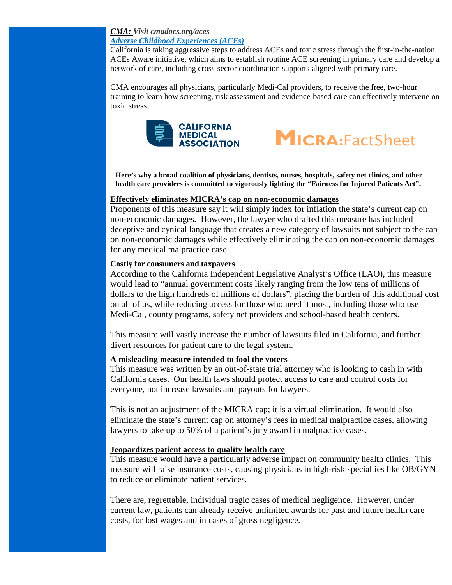# *CMA: Visit cmadocs.org/aces Adverse Childhood Experiences (ACEs)*

California is taking aggressive steps to address ACEs and toxic stress through the first-in-the-nation ACEs Aware initiative, which aims to establish routine ACE screening in primary care and develop a network of care, including cross-sector coordination supports aligned with primary care.

CMA encourages all physicians, particularly Medi-Cal providers, to receive the free, two-hour training to learn how screening, risk assessment and evidence-based care can effectively intervene on toxic stress.





**Here's why a broad coalition of physicians, dentists, nurses, hospitals, safety net clinics, and other health care providers is committed to vigorously fighting the "Fairness for Injured Patients Act".** 

# **Effectively eliminates MICRA's cap on non-economic damages**

Proponents of this measure say it will simply index for inflation the state's current cap on non-economic damages. However, the lawyer who drafted this measure has included deceptive and cynical language that creates a new category of lawsuits not subject to the cap on non-economic damages while effectively eliminating the cap on non-economic damages for any medical malpractice case.

# **Costly for consumers and taxpayers**

According to the California Independent Legislative Analyst's Office (LAO), this measure would lead to "annual government costs likely ranging from the low tens of millions of dollars to the high hundreds of millions of dollars", placing the burden of this additional cost on all of us, while reducing access for those who need it most, including those who use Medi-Cal, county programs, safety net providers and school-based health centers.

This measure will vastly increase the number of lawsuits filed in California, and further divert resources for patient care to the legal system.

# **A misleading measure intended to fool the voters**

This measure was written by an out-of-state trial attorney who is looking to cash in with California cases. Our health laws should protect access to care and control costs for everyone, not increase lawsuits and payouts for lawyers.

This is not an adjustment of the MICRA cap; it is a virtual elimination. It would also eliminate the state's current cap on attorney's fees in medical malpractice cases, allowing lawyers to take up to 50% of a patient's jury award in malpractice cases.

# **Jeopardizes patient access to quality health care**

This measure would have a particularly adverse impact on community health clinics. This measure will raise insurance costs, causing physicians in high-risk specialties like OB/GYN to reduce or eliminate patient services.

There are, regrettable, individual tragic cases of medical negligence. However, under current law, patients can already receive unlimited awards for past and future health care costs, for lost wages and in cases of gross negligence.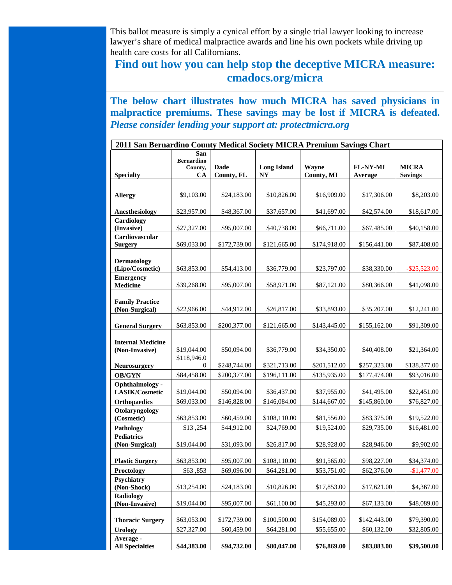This ballot measure is simply a cynical effort by a single trial lawyer looking to increase lawyer's share of medical malpractice awards and line his own pockets while driving up health care costs for all Californians.

# **Find out how you can help stop the deceptive MICRA measure: cmadocs.org/micra**

**The below chart illustrates how much MICRA has saved physicians in malpractice premiums. These savings may be lost if MICRA is defeated.**  *Please consider lending your support at: protectmicra.org*

| 2011 San Bernardino County Medical Society MICRA Premium Savings Chart |                                           |                           |                                      |                     |                            |                                |
|------------------------------------------------------------------------|-------------------------------------------|---------------------------|--------------------------------------|---------------------|----------------------------|--------------------------------|
| <b>Specialty</b>                                                       | San<br><b>Bernardino</b><br>County,<br>CA | <b>Dade</b><br>County, FL | <b>Long Island</b><br>N <sub>Y</sub> | Wayne<br>County, MI | <b>FL-NY-MI</b><br>Average | <b>MICRA</b><br><b>Savings</b> |
|                                                                        |                                           |                           |                                      |                     |                            |                                |
| <b>Allergy</b>                                                         | \$9,103.00                                | \$24,183.00               | \$10,826.00                          | \$16,909.00         | \$17,306.00                | \$8,203.00                     |
|                                                                        |                                           |                           |                                      |                     |                            |                                |
| Anesthesiology                                                         | \$23,957.00                               | \$48,367.00               | \$37,657.00                          | \$41,697.00         | \$42,574.00                | \$18,617.00                    |
| Cardiology<br>(Invasive)                                               | \$27,327.00                               | \$95,007.00               | \$40,738.00                          | \$66,711.00         | \$67,485.00                | \$40,158.00                    |
| Cardiovascular                                                         |                                           |                           |                                      |                     |                            |                                |
| <b>Surgery</b>                                                         | \$69,033.00                               | \$172,739.00              | \$121,665.00                         | \$174,918.00        | \$156,441.00               | \$87,408.00                    |
| <b>Dermatology</b><br>(Lipo/Cosmetic)                                  | \$63,853.00                               | \$54,413.00               | \$36,779.00                          | \$23,797.00         | \$38,330.00                | $-$ \$25,523.00                |
| <b>Emergency</b><br><b>Medicine</b>                                    | \$39,268.00                               | \$95,007.00               | \$58,971.00                          | \$87,121.00         | \$80,366.00                | \$41,098.00                    |
| <b>Family Practice</b><br>(Non-Surgical)                               | \$22,966.00                               | \$44,912.00               | \$26,817.00                          | \$33,893.00         | \$35,207.00                | \$12,241.00                    |
| <b>General Surgery</b>                                                 | \$63,853.00                               | \$200,377.00              | \$121,665.00                         | \$143,445.00        | \$155,162.00               | \$91,309.00                    |
| <b>Internal Medicine</b><br>(Non-Invasive)                             | \$19,044.00<br>\$118,946.0                | \$50,094.00               | \$36,779.00                          | \$34,350.00         | \$40,408.00                | \$21,364.00                    |
| <b>Neurosurgery</b>                                                    | $\overline{0}$                            | \$248,744.00              | \$321,713.00                         | \$201,512.00        | \$257,323.00               | \$138,377.00                   |
| <b>OB/GYN</b>                                                          | \$84,458.00                               | \$200,377.00              | \$196,111.00                         | \$135,935.00        | \$177,474.00               | \$93,016.00                    |
| <b>Ophthalmology -</b><br>LASIK/Cosmetic                               | \$19,044.00                               | \$50,094.00               | \$36,437.00                          | \$37,955.00         | \$41,495.00                | \$22,451.00                    |
| <b>Orthopaedics</b>                                                    | \$69,033.00                               | \$146,828.00              | \$146,084.00                         | \$144,667.00        | \$145,860.00               | \$76,827.00                    |
| Otolaryngology<br>(Cosmetic)                                           | \$63,853.00                               | \$60,459.00               | \$108,110.00                         | \$81,556.00         | \$83,375.00                | \$19,522.00                    |
| Pathology                                                              | \$13,254                                  | \$44,912.00               | \$24,769.00                          | \$19,524.00         | \$29,735.00                | \$16,481.00                    |
| <b>Pediatrics</b><br>(Non-Surgical)                                    | \$19,044.00                               | \$31,093.00               | \$26,817.00                          | \$28,928.00         | \$28,946.00                | \$9,902.00                     |
| <b>Plastic Surgery</b>                                                 | \$63,853.00                               | \$95,007.00               | \$108,110.00                         | \$91,565.00         | \$98,227.00                | \$34,374.00                    |
| Proctology                                                             | \$63,853                                  | \$69,096.00               | \$64,281.00                          | \$53,751.00         | \$62,376.00                | $-$1,477.00$                   |
| Psychiatry                                                             |                                           |                           |                                      |                     |                            |                                |
| (Non-Shock)                                                            | \$13,254.00                               | \$24,183.00               | \$10,826.00                          | \$17,853.00         | \$17,621.00                | \$4,367.00                     |
| <b>Radiology</b>                                                       |                                           |                           |                                      |                     |                            |                                |
| (Non-Invasive)                                                         | \$19,044.00                               | \$95,007.00               | \$61,100.00                          | \$45,293.00         | \$67,133.00                | \$48,089.00                    |
| <b>Thoracic Surgery</b>                                                | \$63,053.00                               | \$172,739.00              | \$100,500.00                         | \$154,089.00        | \$142,443.00               | \$79,390.00                    |
| <b>Urology</b>                                                         | \$27,327.00                               | \$60,459.00               | \$64,281.00                          | \$55,655.00         | \$60,132.00                | \$32,805.00                    |
| Average -<br><b>All Specialties</b>                                    | \$44,383.00                               | \$94,732.00               | \$80,047.00                          | \$76,869.00         | \$83,883.00                | \$39,500.00                    |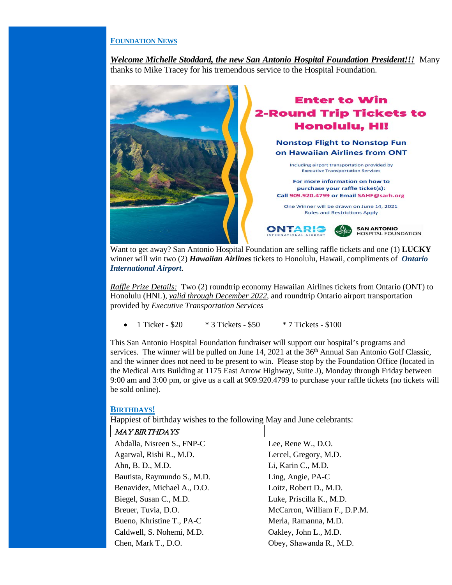## **FOUNDATION NEWS**

*Welcome Michelle Stoddard, the new San Antonio Hospital Foundation President!!!* Many thanks to Mike Tracey for his tremendous service to the Hospital Foundation.



 Want to get away? San Antonio Hospital Foundation are selling raffle tickets and one (1) **LUCKY** winner will win two (2) *[Hawaiian Airlines](https://www.hawaiianairlines.com/)* tickets to Honolulu, Hawaii, compliments of *[Ontario](https://www.flyontario.com/)  [International Airport](https://www.flyontario.com/)*.

*Raffle Prize Details:* Two (2) roundtrip economy Hawaiian Airlines tickets from Ontario (ONT) to Honolulu (HNL), *valid through December 2022*, and roundtrip Ontario airport transportation provided by *[Executive Transportation](https://www.executivechauffeured.com/) Services*

• 1 Ticket -  $$20$  \* 3 Tickets -  $$50$  \* 7 Tickets -  $$100$ 

This San Antonio Hospital Foundation fundraiser will support our hospital's programs and services. The winner will be pulled on June 14, 2021 at the 36<sup>th</sup> Annual San Antonio Golf Classic, and the winner does not need to be present to win. Please stop by the Foundation Office (located in the Medical Arts Building at 1175 East Arrow Highway, Suite J), Monday through Friday between 9:00 am and 3:00 pm, or give us a call at 909.920.4799 to purchase your raffle tickets (no tickets will be sold online).

#### **BIRTHDAYS!**

Happiest of birthday wishes to the following May and June celebrants:

| <b>MAY BIRTHDAYS</b>        |                              |  |  |
|-----------------------------|------------------------------|--|--|
| Abdalla, Nisreen S., FNP-C  | Lee, Rene W., D.O.           |  |  |
| Agarwal, Rishi R., M.D.     | Lercel, Gregory, M.D.        |  |  |
| Ahn, B. D., M.D.            | Li, Karin C., M.D.           |  |  |
| Bautista, Raymundo S., M.D. | Ling, Angie, PA-C            |  |  |
| Benavidez, Michael A., D.O. | Loitz, Robert D., M.D.       |  |  |
| Biegel, Susan C., M.D.      | Luke, Priscilla K., M.D.     |  |  |
| Breuer, Tuvia, D.O.         | McCarron, William F., D.P.M. |  |  |
| Bueno, Khristine T., PA-C   | Merla, Ramanna, M.D.         |  |  |
| Caldwell, S. Nohemi, M.D.   | Oakley, John L., M.D.        |  |  |
| Chen, Mark T., D.O.         | Obey, Shawanda R., M.D.      |  |  |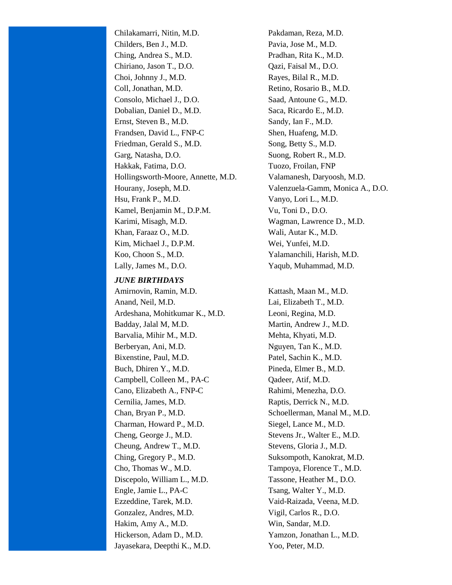Chilakamarri, Nitin, M.D. Pakdaman, Reza, M.D. Childers, Ben J., M.D. Pavia, Jose M., M.D. Ching, Andrea S., M.D. Pradhan, Rita K., M.D. Chiriano, Jason T., D.O. Qazi, Faisal M., D.O. Choi, Johnny J., M.D. Rayes, Bilal R., M.D. Coll, Jonathan, M.D. Retino, Rosario B., M.D. Consolo, Michael J., D.O. Saad, Antoune G., M.D. Dobalian, Daniel D., M.D. Saca, Ricardo E., M.D. Ernst, Steven B., M.D. Sandy, Ian F., M.D. Frandsen, David L., FNP-C Shen, Huafeng, M.D. Friedman, Gerald S., M.D. Song, Betty S., M.D. Garg, Natasha, D.O. Suong, Robert R., M.D. Hakkak, Fatima, D.O. Tuozo, Froilan, FNP Hollingsworth-Moore, Annette, M.D. Valamanesh, Daryoosh, M.D. Hourany, Joseph, M.D. Valenzuela-Gamm, Monica A., D.O. Hsu, Frank P., M.D. Vanyo, Lori L., M.D. Kamel, Benjamin M., D.P.M. Vu, Toni D., D.O. Karimi, Misagh, M.D. Wagman, Lawrence D., M.D. Khan, Faraaz O., M.D. Wali, Autar K., M.D. Kim, Michael J., D.P.M. Wei, Yunfei, M.D. Koo, Choon S., M.D. Yalamanchili, Harish, M.D. Lally, James M., D.O. Yaqub, Muhammad, M.D.

#### *JUNE BIRTHDAYS*

Amirnovin, Ramin, M.D. Kattash, Maan M., M.D. Anand, Neil, M.D. Lai, Elizabeth T., M.D. Ardeshana, Mohitkumar K., M.D. Leoni, Regina, M.D. Badday, Jalal M, M.D. Martin, Andrew J., M.D. Barvalia, Mihir M., M.D. Mehta, Khyati, M.D. Berberyan, Ani, M.D. Nguyen, Tan K., M.D. Bixenstine, Paul, M.D. Patel, Sachin K., M.D. Buch, Dhiren Y., M.D. Pineda, Elmer B., M.D. Campbell, Colleen M., PA-C Qadeer, Atif, M.D. Cano, Elizabeth A., FNP-C Rahimi, Menezha, D.O. Cernilia, James, M.D. Raptis, Derrick N., M.D. Chan, Bryan P., M.D. Schoellerman, Manal M., M.D. Charman, Howard P., M.D. Siegel, Lance M., M.D. Cheng, George J., M.D. Stevens Jr., Walter E., M.D. Cheung, Andrew T., M.D. Stevens, Gloria J., M.D. Ching, Gregory P., M.D. Suksompoth, Kanokrat, M.D. Cho, Thomas W., M.D. Tampoya, Florence T., M.D. Discepolo, William L., M.D. Tassone, Heather M., D.O. Engle, Jamie L., PA-C Tsang, Walter Y., M.D. Ezzeddine, Tarek, M.D. Vaid-Raizada, Veena, M.D. Gonzalez, Andres, M.D. Vigil, Carlos R., D.O. Hakim, Amy A., M.D. Win, Sandar, M.D. Hickerson, Adam D., M.D. Yamzon, Jonathan L., M.D. Jayasekara, Deepthi K., M.D. Yoo, Peter, M.D.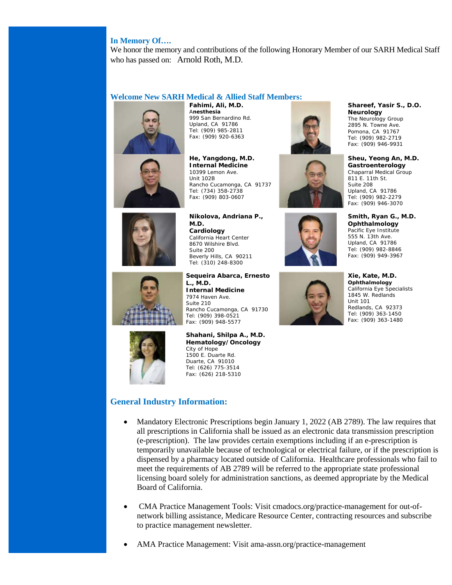# **In Memory Of….**

We honor the memory and contributions of the following Honorary Member of our SARH Medical Staff who has passed on: Arnold Roth, M.D.

## **Welcome New SARH Medical & Allied Staff Members:**





**Fahimi, Ali, M.D.** A**nesthesia** 999 San Bernardino Rd. Upland, CA 91786 Tel: (909) 985-2811 Fax: (909) 920-6363

**He, Yangdong, M.D. Internal Medicine** 10399 Lemon Ave. Unit 102B Rancho Cucamonga, CA 91737 Tel: (734) 358-2738 Fax: (909) 803-0607



**Nikolova, Andriana P., M.D. Cardiology** California Heart Center 8670 Wilshire Blvd. Suite 200 Beverly Hills, CA 90211 Tel: (310) 248-8300

**Sequeira Abarca, Ernesto L., M.D. Internal Medicine** 7974 Haven Ave. Suite 210 Rancho Cucamonga, CA 91730 Tel: (909) 398-0521 Fax: (909) 948-5577



**Shahani, Shilpa A., M.D. Hematology/Oncology** City of Hope 1500 E. Duarte Rd. Duarte, CA 91010 Tel: (626) 775-3514 Fax: (626) 218-5310

# **General Industry Information:**

- Mandatory Electronic Prescriptions begin January 1, 2022 (AB 2789). The law requires that all prescriptions in California shall be issued as an electronic data transmission prescription (e-prescription). The law provides certain exemptions including if an e-prescription is temporarily unavailable because of technological or electrical failure, or if the prescription is dispensed by a pharmacy located outside of California. Healthcare professionals who fail to meet the requirements of AB 2789 will be referred to the appropriate state professional licensing board solely for administration sanctions, as deemed appropriate by the Medical Board of California.
- CMA Practice Management Tools: Visit cmadocs.org/practice-management for out-ofnetwork billing assistance, Medicare Resource Center, contracting resources and subscribe to practice management newsletter.
- AMA Practice Management: Visit ama-assn.org/practice-management









**Xie, Kate, M.D. Ophthalmology**  California Eye Specialists 1845 W. Redlands Unit 101

**Shareef, Yasir S., D.O.**

**Sheu, Yeong An, M.D. Gastroenterology** Chaparral Medical Group  $811$  F. 11th St. Suite 208 Upland, CA 91786 Tel: (909) 982-2279 Fax: (909) 946-3070

**Smith, Ryan G., M.D. Ophthalmology** Pacific Eye Institute 555 N. 13th Ave. Upland, CA 91786 Tel: (909) 982-8846 Fax: (909) 949-3967

**Neurology** The Neurology Group 2895 N. Towne Ave. Pomona, CA 91767 Tel: (909) 982-2719 Fax: (909) 946-9931

Redlands, CA 92373 Tel: (909) 363-1450 Fax: (909) 363-1480